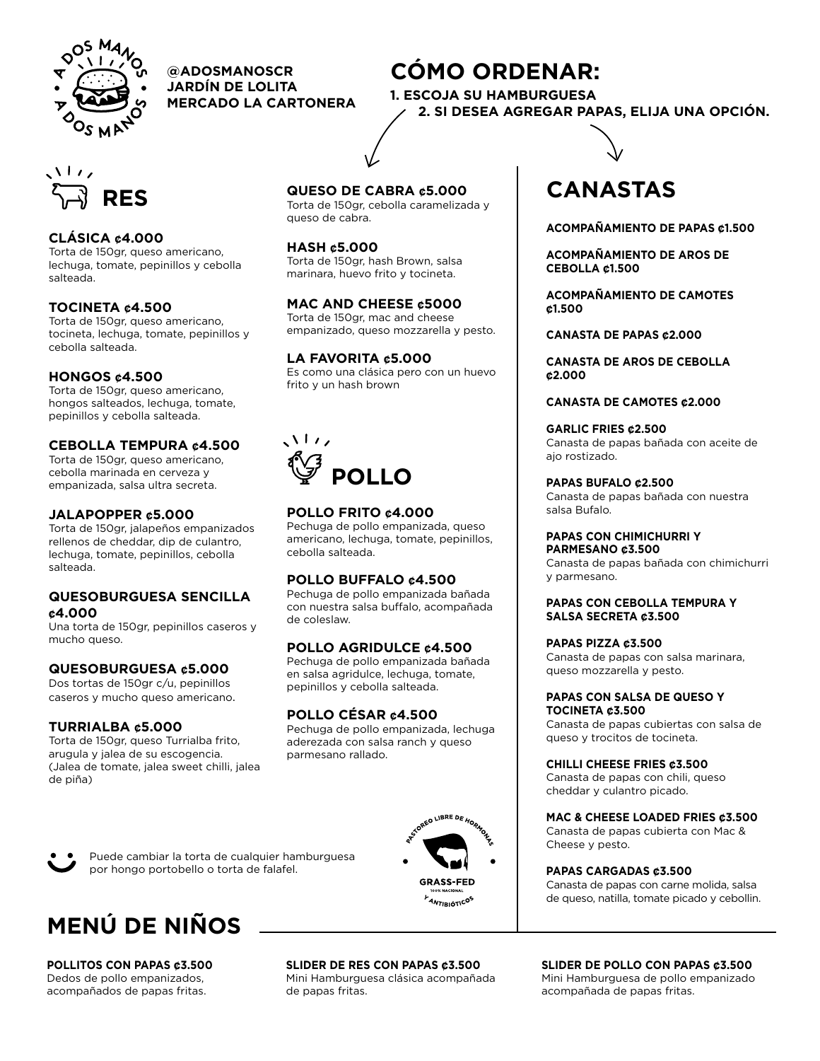

**@ADOSMANOSCR CÓMO ORDENAR: JARDÍN DE LOLITA MERCADO LA CARTONERA**



## **CLÁSICA ¢4.000**

Torta de 150gr, queso americano, lechuga, tomate, pepinillos y cebolla salteada.

#### **TOCINETA ¢4.500**

Torta de 150gr, queso americano, tocineta, lechuga, tomate, pepinillos y cebolla salteada.

### **HONGOS ¢4.500**

Torta de 150gr, queso americano, hongos salteados, lechuga, tomate, pepinillos y cebolla salteada.

## **CEBOLLA TEMPURA ¢4.500**

Torta de 150gr, queso americano, cebolla marinada en cerveza y empanizada, salsa ultra secreta.

### **JALAPOPPER ¢5.000**

Torta de 150gr, jalapeños empanizados rellenos de cheddar, dip de culantro, lechuga, tomate, pepinillos, cebolla salteada.

#### **QUESOBURGUESA SENCILLA ¢4.000**

Una torta de 150gr, pepinillos caseros y mucho queso.

### **QUESOBURGUESA ¢5.000**

Dos tortas de 150gr c/u, pepinillos caseros y mucho queso americano.

### **TURRIALBA ¢5.000**

Torta de 150gr, queso Turrialba frito, arugula y jalea de su escogencia. (Jalea de tomate, jalea sweet chilli, jalea de piña)

## **QUESO DE CABRA ¢5.000**

Torta de 150gr, cebolla caramelizada y queso de cabra.

**1. ESCOJA SU HAMBURGUESA**

#### **HASH ¢5.000**

Torta de 150gr, hash Brown, salsa marinara, huevo frito y tocineta.

#### **MAC AND CHEESE ¢5000**

Torta de 150gr, mac and cheese empanizado, queso mozzarella y pesto.

#### **LA FAVORITA ¢5.000**

Es como una clásica pero con un huevo frito y un hash brown



## **POLLO FRITO ¢4.000**

Pechuga de pollo empanizada, queso americano, lechuga, tomate, pepinillos, cebolla salteada.

### **POLLO BUFFALO ¢4.500**

Pechuga de pollo empanizada bañada con nuestra salsa buffalo, acompañada de coleslaw.

## **POLLO AGRIDULCE ¢4.500**

Pechuga de pollo empanizada bañada en salsa agridulce, lechuga, tomate, pepinillos y cebolla salteada.

### **POLLO CÉSAR ¢4.500**

Pechuga de pollo empanizada, lechuga aderezada con salsa ranch y queso parmesano rallado.



# **CANASTAS**

 **2. SI DESEA AGREGAR PAPAS, ELIJA UNA OPCIÓN.**

**ACOMPAÑAMIENTO DE PAPAS ¢1.500**

**ACOMPAÑAMIENTO DE AROS DE CEBOLLA ¢1.500**

**ACOMPAÑAMIENTO DE CAMOTES ¢1.500**

**CANASTA DE PAPAS ¢2.000**

**CANASTA DE AROS DE CEBOLLA ¢2.000**

#### **CANASTA DE CAMOTES ¢2.000**

**GARLIC FRIES ¢2.500** Canasta de papas bañada con aceite de ajo rostizado.

**PAPAS BUFALO ¢2.500**

Canasta de papas bañada con nuestra salsa Bufalo.

#### **PAPAS CON CHIMICHURRI Y PARMESANO ¢3.500**

Canasta de papas bañada con chimichurri y parmesano.

#### **PAPAS CON CEBOLLA TEMPURA Y SALSA SECRETA ¢3.500**

#### **PAPAS PIZZA ¢3.500**

Canasta de papas con salsa marinara, queso mozzarella y pesto.

#### **PAPAS CON SALSA DE QUESO Y TOCINETA ¢3.500**

Canasta de papas cubiertas con salsa de queso y trocitos de tocineta.

#### **CHILLI CHEESE FRIES ¢3.500**

Canasta de papas con chili, queso cheddar y culantro picado.

#### **MAC & CHEESE LOADED FRIES ¢3.500**

Canasta de papas cubierta con Mac & Cheese y pesto.

#### **PAPAS CARGADAS ¢3.500**

Canasta de papas con carne molida, salsa de queso, natilla, tomate picado y cebollin.

Puede cambiar la torta de cualquier hamburguesa por hongo portobello o torta de falafel.



**POLLITOS CON PAPAS ¢3.500** Dedos de pollo empanizados, acompañados de papas fritas.

**SLIDER DE RES CON PAPAS ¢3.500** Mini Hamburguesa clásica acompañada de papas fritas.

**SLIDER DE POLLO CON PAPAS ¢3.500** Mini Hamburguesa de pollo empanizado acompañada de papas fritas.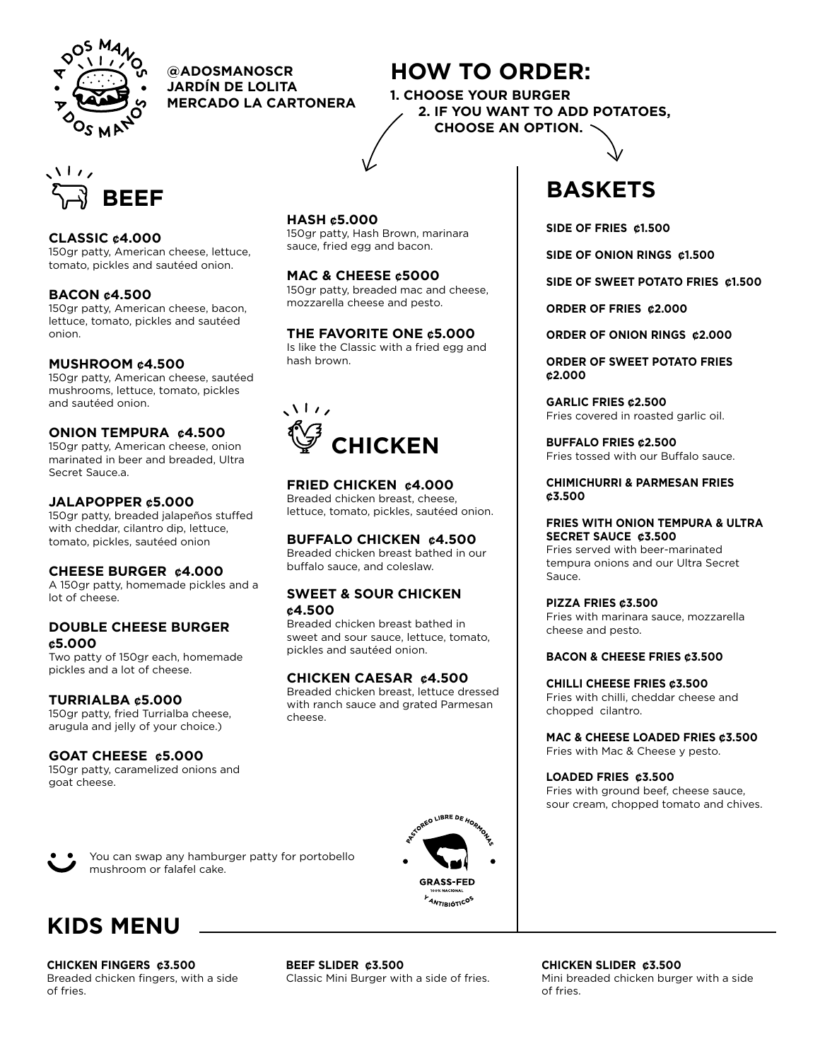

**@ADOSMANOSCR HOW TO ORDER: JARDÍN DE LOLITA MERCADO LA CARTONERA**



## **CLASSIC ¢4.000**

150gr patty, American cheese, lettuce, tomato, pickles and sautéed onion.

## **BACON ¢4.500**

150gr patty, American cheese, bacon, lettuce, tomato, pickles and sautéed onion.

## **MUSHROOM ¢4.500**

150gr patty, American cheese, sautéed mushrooms, lettuce, tomato, pickles and sautéed onion.

## **ONION TEMPURA ¢4.500**

150gr patty, American cheese, onion marinated in beer and breaded, Ultra Secret Sauce.a.

### **JALAPOPPER ¢5.000**

150gr patty, breaded jalapeños stuffed with cheddar, cilantro dip, lettuce, tomato, pickles, sautéed onion

### **CHEESE BURGER ¢4.000**

A 150gr patty, homemade pickles and a lot of cheese.

### **DOUBLE CHEESE BURGER ¢5.000**

Two patty of 150gr each, homemade pickles and a lot of cheese.

### **TURRIALBA ¢5.000**

150gr patty, fried Turrialba cheese, arugula and jelly of your choice.)

### **GOAT CHEESE ¢5.000**

150gr patty, caramelized onions and goat cheese.

mushroom or falafel cake.

You can swap any hamburger patty for portobello

**HASH ¢5.000**

150gr patty, Hash Brown, marinara sauce, fried egg and bacon.

**1. CHOOSE YOUR BURGER**

 **2. IF YOU WANT TO ADD POTATOES,** 

 **CHOOSE AN OPTION.**

## **MAC & CHEESE ¢5000**

150gr patty, breaded mac and cheese, mozzarella cheese and pesto.

## **THE FAVORITE ONE ¢5.000**

Is like the Classic with a fried egg and hash brown.



## **FRIED CHICKEN ¢4.000**

Breaded chicken breast, cheese, lettuce, tomato, pickles, sautéed onion.

## **BUFFALO CHICKEN ¢4.500**

Breaded chicken breast bathed in our buffalo sauce, and coleslaw.

#### **SWEET & SOUR CHICKEN ¢4.500**

Breaded chicken breast bathed in sweet and sour sauce, lettuce, tomato, pickles and sautéed onion.

## **CHICKEN CAESAR ¢4.500**

Breaded chicken breast, lettuce dressed with ranch sauce and grated Parmesan cheese.



# **KIDS MENU**

**CHICKEN FINGERS ¢3.500** Breaded chicken fingers, with a side of fries.

**BEEF SLIDER ¢3.500** Classic Mini Burger with a side of fries. **BASKETS**

**SIDE OF FRIES ¢1.500**

**SIDE OF ONION RINGS ¢1.500**

**SIDE OF SWEET POTATO FRIES ¢1.500**

**ORDER OF FRIES ¢2.000**

**ORDER OF ONION RINGS ¢2.000**

**ORDER OF SWEET POTATO FRIES ¢2.000**

**GARLIC FRIES ¢2.500** Fries covered in roasted garlic oil.

**BUFFALO FRIES ¢2.500** Fries tossed with our Buffalo sauce.

**CHIMICHURRI & PARMESAN FRIES ¢3.500**

#### **FRIES WITH ONION TEMPURA & ULTRA SECRET SAUCE ¢3.500**

Fries served with beer-marinated tempura onions and our Ultra Secret Sauce.

#### **PIZZA FRIES ¢3.500**

Fries with marinara sauce, mozzarella cheese and pesto.

#### **BACON & CHEESE FRIES ¢3.500**

**CHILLI CHEESE FRIES ¢3.500** Fries with chilli, cheddar cheese and chopped cilantro.

#### **MAC & CHEESE LOADED FRIES ¢3.500** Fries with Mac & Cheese y pesto.

**LOADED FRIES ¢3.500**

Fries with ground beef, cheese sauce, sour cream, chopped tomato and chives.

**CHICKEN SLIDER ¢3.500** Mini breaded chicken burger with a side of fries.